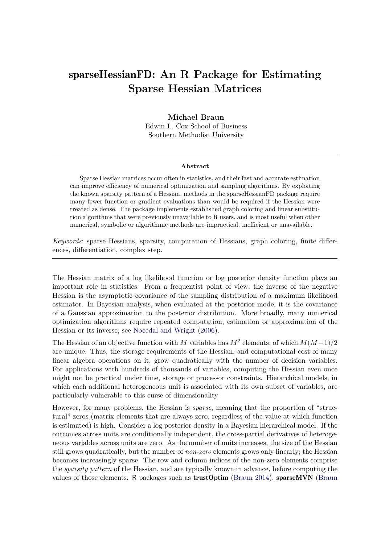# sparseHessianFD**: An R Package for Estimating Sparse Hessian Matrices**

## **Michael Braun**

Edwin L. Cox School of Business Southern Methodist University

#### **Abstract**

Sparse Hessian matrices occur often in statistics, and their fast and accurate estimation can improve efficiency of numerical optimization and sampling algorithms. By exploiting the known sparsity pattern of a Hessian, methods in the sparseHessianFD package require many fewer function or gradient evaluations than would be required if the Hessian were treated as dense. The package implements established graph coloring and linear substitution algorithms that were previously unavailable to R users, and is most useful when other numerical, symbolic or algorithmic methods are impractical, inefficient or unavailable.

*Keywords*: sparse Hessians, sparsity, computation of Hessians, graph coloring, finite differences, differentiation, complex step.

The Hessian matrix of a log likelihood function or log posterior density function plays an important role in statistics. From a frequentist point of view, the inverse of the negative Hessian is the asymptotic covariance of the sampling distribution of a maximum likelihood estimator. In Bayesian analysis, when evaluated at the posterior mode, it is the covariance of a Gaussian approximation to the posterior distribution. More broadly, many numerical optimization algorithms require repeated computation, estimation or approximation of the Hessian or its inverse; see [Nocedal and Wright](#page-21-0) [\(2006\)](#page-21-0).

The Hessian of an objective function with *M* variables has  $M^2$  elements, of which  $M(M+1)/2$ are unique. Thus, the storage requirements of the Hessian, and computational cost of many linear algebra operations on it, grow quadratically with the number of decision variables. For applications with hundreds of thousands of variables, computing the Hessian even once might not be practical under time, storage or processor constraints. Hierarchical models, in which each additional heterogeneous unit is associated with its own subset of variables, are particularly vulnerable to this curse of dimensionality

However, for many problems, the Hessian is *sparse*, meaning that the proportion of "structuralŤ zeros (matrix elements that are always zero, regardless of the value at which function is estimated) is high. Consider a log posterior density in a Bayesian hierarchical model. If the outcomes across units are conditionally independent, the cross-partial derivatives of heterogeneous variables across units are zero. As the number of units increases, the size of the Hessian still grows quadratically, but the number of *non-zero* elements grows only linearly; the Hessian becomes increasingly sparse. The row and column indices of the non-zero elements comprise the *sparsity pattern* of the Hessian, and are typically known in advance, before computing the values of those elements. R packages such as trustOptim [\(Braun 2014\)](#page-20-0), sparseMVN [\(Braun](#page-20-1)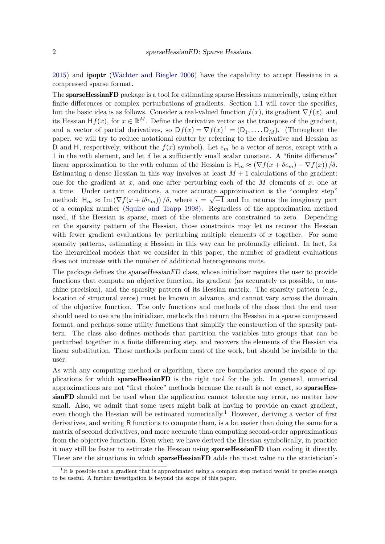[2015\)](#page-20-1) and ipoptr [\(Wächter and Biegler 2006\)](#page-21-1) have the capability to accept Hessians in a compressed sparse format.

The **sparseHessianFD** package is a tool for estimating sparse Hessians numerically, using either finite differences or complex perturbations of gradients. Section  $1.1$  will cover the specifics, but the basic idea is as follows. Consider a real-valued function  $f(x)$ , its gradient  $\nabla f(x)$ , and its Hessian  $Hf(x)$ , for  $x \in \mathbb{R}^M$ . Define the derivative vector as the transpose of the gradient, and a vector of partial derivatives, so  $Df(x) = \nabla f(x)^\top = (D_1, \ldots, D_M)$ . (Throughout the paper, we will try to reduce notational clutter by referring to the derivative and Hessian as D and H, respectively, without the  $f(x)$  symbol). Let  $e_m$  be a vector of zeros, except with a 1 in the *m*th element, and let  $\delta$  be a sufficiently small scalar constant. A "finite difference" linear approximation to the *m*th column of the Hessian is  $H_m \approx (\nabla f(x + \delta e_m) - \nabla f(x))/\delta$ . Estimating a dense Hessian in this way involves at least  $M+1$  calculations of the gradient: one for the gradient at *x*, and one after perturbing each of the *M* elements of *x*, one at a time. Under certain conditions, a more accurate approximation is the "complex step" method:  $H_m \approx \text{Im}(\nabla f(x + i\delta e_m)) / \delta$ , where  $i = \sqrt{-1}$  and Im returns the imaginary part of a complex number [\(Squire and Trapp 1998\)](#page-21-2). Regardless of the approximation method used, if the Hessian is sparse, most of the elements are constrained to zero. Depending on the sparsity pattern of the Hessian, those constraints may let us recover the Hessian with fewer gradient evaluations by perturbing multiple elements of *x* together. For some sparsity patterns, estimating a Hessian in this way can be profoundly efficient. In fact, for the hierarchical models that we consider in this paper, the number of gradient evaluations does not increase with the number of additional heterogeneous units.

The package defines the *sparseHessianFD* class, whose initializer requires the user to provide functions that compute an objective function, its gradient (as accurately as possible, to machine precision), and the sparsity pattern of its Hessian matrix. The sparsity pattern (e.g., location of structural zeros) must be known in advance, and cannot vary across the domain of the objective function. The only functions and methods of the class that the end user should need to use are the initializer, methods that return the Hessian in a sparse compressed format, and perhaps some utility functions that simplify the construction of the sparsity pattern. The class also defines methods that partition the variables into groups that can be perturbed together in a finite differencing step, and recovers the elements of the Hessian via linear substitution. Those methods perform most of the work, but should be invisible to the user.

As with any computing method or algorithm, there are boundaries around the space of applications for which sparseHessianFD is the right tool for the job. In general, numerical approximations are not "first choice" methods because the result is not exact, so  $sparseHe$ sianFD should not be used when the application cannot tolerate any error, no matter how small. Also, we admit that some users might balk at having to provide an exact gradient, even though the Hessian will be estimated numerically.<sup>[1](#page-1-0)</sup> However, deriving a vector of first derivatives, and writing R functions to compute them, is a lot easier than doing the same for a matrix of second derivatives, and more accurate than computing second-order approximations from the objective function. Even when we have derived the Hessian symbolically, in practice it may still be faster to estimate the Hessian using **sparseHessianFD** than coding it directly. These are the situations in which sparseHessianFD adds the most value to the statistician's

<span id="page-1-0"></span><sup>&</sup>lt;sup>1</sup>It is possible that a gradient that is approximated using a complex step method would be precise enough to be useful. A further investigation is beyond the scope of this paper.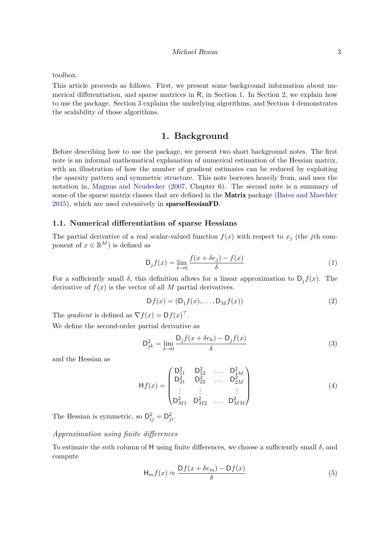toolbox.

This article proceeds as follows. First, we present some background information about numerical differentiation, and sparse matrices in R, in Section [1.](#page-2-1) In Section [2,](#page-6-0) we explain how to use the package. Section [3](#page-13-0) explains the underlying algorithms, and Section [4](#page-15-0) demonstrates the scalability of those algorithms.

# **1. Background**

<span id="page-2-1"></span>Before describing how to use the package, we present two short background notes. The first note is an informal mathematical explanation of numerical estimation of the Hessian matrix, with an illustration of how the number of gradient estimates can be reduced by exploiting the sparsity pattern and symmetric structure. This note borrows heavily from, and uses the notation in, [Magnus and Neudecker](#page-21-3) [\(2007,](#page-21-3) Chapter 6). The second note is a summary of some of the sparse matrix classes that are defined in the **Matrix** package [\(Bates and Maechler](#page-20-2) [2015\)](#page-20-2), which are used extensively in sparseHessianFD.

#### <span id="page-2-0"></span>**1.1. Numerical differentiation of sparse Hessians**

The partial derivative of a real scalar-valued function  $f(x)$  with respect to  $x_j$  (the *j*th component of  $x \in \mathbb{R}^M$  is defined as

$$
D_j f(x) = \lim_{\delta \to 0} \frac{f(x + \delta e_j) - f(x)}{\delta} \tag{1}
$$

For a sufficiently small  $\delta$ , this definition allows for a linear approximation to  $D_j f(x)$ . The derivative of  $f(x)$  is the vector of all M partial derivatives.

$$
Df(x) = (D_1f(x), \dots, D_Mf(x))
$$
\n(2)

The *gradient* is defined as  $\nabla f(x) = \mathsf{D} f(x)^\top$ .

We define the second-order partial derivative as

$$
D_{jk}^{2} = \lim_{\delta \to 0} \frac{D_{j} f(x + \delta e_{k}) - D_{j} f(x)}{\delta}
$$
\n(3)

and the Hessian as

$$
\mathsf{H}f(x) = \begin{pmatrix} \mathsf{D}_{11}^2 & \mathsf{D}_{12}^2 & \dots & \mathsf{D}_{1M}^2 \\ \mathsf{D}_{21}^2 & \mathsf{D}_{22}^2 & \dots & \mathsf{D}_{2M}^2 \\ \vdots & \vdots & & \vdots \\ \mathsf{D}_{M1}^2 & \mathsf{D}_{M2}^2 & \dots & \mathsf{D}_{MM}^2 \end{pmatrix} \tag{4}
$$

The Hessian is symmetric, so  $D_{ij}^2 = D_{ji}^2$ .

## *Approximation using Ąnite differences*

To estimate the *m*th column of H using finite differences, we choose a sufficiently small  $\delta$ , and compute

$$
\mathsf{H}_{m}f(x) \approx \frac{\mathsf{D}f(x + \delta e_{m}) - \mathsf{D}f(x)}{\delta} \tag{5}
$$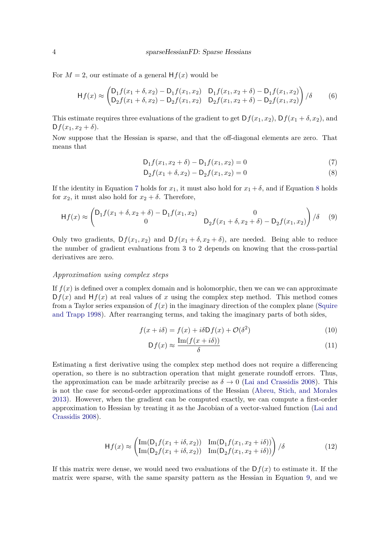For  $M = 2$ , our estimate of a general  $Hf(x)$  would be

$$
\mathsf{H}f(x) \approx \begin{pmatrix} \mathsf{D}_1 f(x_1 + \delta, x_2) - \mathsf{D}_1 f(x_1, x_2) & \mathsf{D}_1 f(x_1, x_2 + \delta) - \mathsf{D}_1 f(x_1, x_2) \\ \mathsf{D}_2 f(x_1 + \delta, x_2) - \mathsf{D}_2 f(x_1, x_2) & \mathsf{D}_2 f(x_1, x_2 + \delta) - \mathsf{D}_2 f(x_1, x_2) \end{pmatrix} / \delta \tag{6}
$$

This estimate requires three evaluations of the gradient to get  $Df(x_1, x_2)$ ,  $Df(x_1 + \delta, x_2)$ , and  $Df(x_1, x_2 + \delta).$ 

Now suppose that the Hessian is sparse, and that the off-diagonal elements are zero. That means that

<span id="page-3-0"></span>
$$
D_1 f(x_1, x_2 + \delta) - D_1 f(x_1, x_2) = 0 \tag{7}
$$

<span id="page-3-2"></span><span id="page-3-1"></span>
$$
D_2 f(x_1 + \delta, x_2) - D_2 f(x_1, x_2) = 0
$$
\n(8)

If the identity in Equation [7](#page-3-0) holds for  $x_1$ , it must also hold for  $x_1 + \delta$ , and if Equation [8](#page-3-1) holds for  $x_2$ , it must also hold for  $x_2 + \delta$ . Therefore,

$$
\mathsf{H}f(x) \approx \begin{pmatrix} \mathsf{D}_1 f(x_1 + \delta, x_2 + \delta) - \mathsf{D}_1 f(x_1, x_2) & 0\\ 0 & \mathsf{D}_2 f(x_1 + \delta, x_2 + \delta) - \mathsf{D}_2 f(x_1, x_2) \end{pmatrix} / \delta \tag{9}
$$

Only two gradients,  $Df(x_1, x_2)$  and  $Df(x_1 + \delta, x_2 + \delta)$ , are needed. Being able to reduce the number of gradient evaluations from 3 to 2 depends on knowing that the cross-partial derivatives are zero.

#### *Approximation using complex steps*

If  $f(x)$  is defined over a complex domain and is holomorphic, then we can we can approximate  $Df(x)$  and  $Hf(x)$  at real values of x using the complex step method. This method comes from a Taylor series expansion of  $f(x)$  in the imaginary direction of the complex plane [\(Squire](#page-21-2) [and Trapp 1998\)](#page-21-2). After rearranging terms, and taking the imaginary parts of both sides,

$$
f(x + i\delta) = f(x) + i\delta \mathcal{D}f(x) + \mathcal{O}(\delta^2)
$$
\n(10)

$$
\mathsf{D}f(x) \approx \frac{\mathrm{Im}(f(x+i\delta))}{\delta} \tag{11}
$$

Estimating a first derivative using the complex step method does not require a differencing operation, so there is no subtraction operation that might generate roundoff errors. Thus, the approximation can be made arbitrarily precise as  $\delta \to 0$  [\(Lai and Crassidis 2008\)](#page-21-4). This is not the case for second-order approximations of the Hessian [\(Abreu, Stich, and Morales](#page-20-3) [2013\)](#page-20-3). However, when the gradient can be computed exactly, we can compute a first-order approximation to Hessian by treating it as the Jacobian of a vector-valued function [\(Lai and](#page-21-4) [Crassidis 2008\)](#page-21-4).

$$
Hf(x) \approx \begin{pmatrix} \text{Im}(D_1 f(x_1 + i\delta, x_2)) & \text{Im}(D_1 f(x_1, x_2 + i\delta)) \\ \text{Im}(D_2 f(x_1 + i\delta, x_2)) & \text{Im}(D_2 f(x_1, x_2 + i\delta)) \end{pmatrix} / \delta
$$
(12)

If this matrix were dense, we would need two evaluations of the  $Df(x)$  to estimate it. If the matrix were sparse, with the same sparsity pattern as the Hessian in Equation [9,](#page-3-2) and we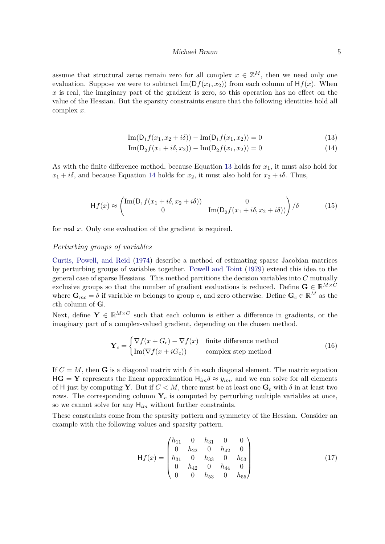#### <span id="page-4-1"></span><span id="page-4-0"></span>Michael Braun 5

assume that structural zeros remain zero for all complex  $x \in \mathbb{Z}^M$ , then we need only one evaluation. Suppose we were to subtract  $\text{Im}(Df(x_1, x_2))$  from each column of  $Hf(x)$ . When *x* is real, the imaginary part of the gradient is zero, so this operation has no effect on the value of the Hessian. But the sparsity constraints ensure that the following identities hold all complex *x*.

$$
Im(D_1 f(x_1, x_2 + i\delta)) - Im(D_1 f(x_1, x_2)) = 0
$$
\n(13)

Im(D<sup>2</sup> *<sup>f</sup>*(*x*<sup>1</sup> <sup>+</sup> *iδ, x*2)) <sup>−</sup> Im(D<sup>2</sup> *f*(*x*1*, x*2)) = 0 (14)

As with the finite difference method, because Equation [13](#page-4-0) holds for  $x_1$ , it must also hold for  $x_1 + i\delta$ , and because Equation [14](#page-4-1) holds for  $x_2$ , it must also hold for  $x_2 + i\delta$ . Thus,

$$
\mathsf{H}f(x) \approx \begin{pmatrix} \text{Im}(\mathsf{D}_1 f(x_1 + i\delta, x_2 + i\delta)) & 0\\ 0 & \text{Im}(\mathsf{D}_2 f(x_1 + i\delta, x_2 + i\delta)) \end{pmatrix} / \delta \tag{15}
$$

for real *x*. Only one evaluation of the gradient is required.

# *Perturbing groups of variables*

[Curtis, Powell, and Reid](#page-20-4) [\(1974\)](#page-20-4) describe a method of estimating sparse Jacobian matrices by perturbing groups of variables together. [Powell and Toint](#page-21-5) [\(1979\)](#page-21-5) extend this idea to the general case of sparse Hessians. This method partitions the decision variables into *C* mutually exclusive groups so that the number of gradient evaluations is reduced. Define  $\mathbf{G} \in \mathbb{R}^{M \times C}$ where  $\mathbf{G}_{mc} = \delta$  if variable *m* belongs to group *c*, and zero otherwise. Define  $\mathbf{G}_c \in \mathbb{R}^M$  as the *c*th column of **G**.

Next, define  $\mathbf{Y} \in \mathbb{R}^{M \times C}$  such that each column is either a difference in gradients, or the imaginary part of a complex-valued gradient, depending on the chosen method.

$$
\mathbf{Y}_c = \begin{cases} \nabla f(x + G_c) - \nabla f(x) & \text{finite difference method} \\ \text{Im}(\nabla f(x + iG_c)) & \text{complex step method} \end{cases}
$$
(16)

If  $C = M$ , then **G** is a diagonal matrix with  $\delta$  in each diagonal element. The matrix equation  $H\mathbf{G} = \mathbf{Y}$  represents the linear approximation  $H_{im}\delta \approx y_{im}$ , and we can solve for all elements of H just by computing **Y**. But if  $C < M$ , there must be at least one  $\mathbf{G}_c$  with  $\delta$  in at least two rows. The corresponding column  $Y_c$  is computed by perturbing multiple variables at once, so we cannot solve for any H*im* without further constraints.

These constraints come from the sparsity pattern and symmetry of the Hessian. Consider an example with the following values and sparsity pattern.

<span id="page-4-2"></span>
$$
\mathsf{H}f(x) = \begin{pmatrix} h_{11} & 0 & h_{31} & 0 & 0 \\ 0 & h_{22} & 0 & h_{42} & 0 \\ h_{31} & 0 & h_{33} & 0 & h_{53} \\ 0 & h_{42} & 0 & h_{44} & 0 \\ 0 & 0 & h_{53} & 0 & h_{55} \end{pmatrix} \tag{17}
$$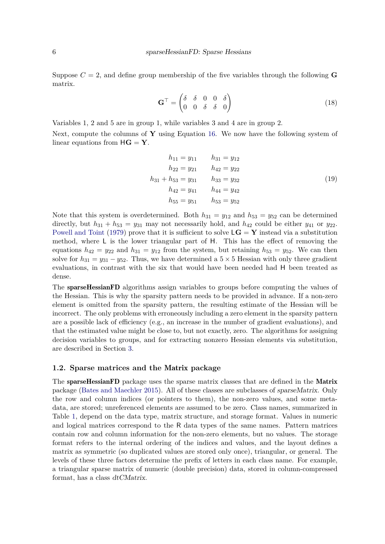Suppose  $C = 2$ , and define group membership of the five variables through the following **G** matrix.

$$
\mathbf{G}^{\top} = \begin{pmatrix} \delta & \delta & 0 & 0 & \delta \\ 0 & 0 & \delta & \delta & 0 \end{pmatrix} \tag{18}
$$

Variables 1, 2 and 5 are in group 1, while variables 3 and 4 are in group 2.

Next, compute the columns of **Y** using Equation [16.](#page-4-2) We now have the following system of linear equations from  $HG = Y$ .

$$
h_{11} = y_{11} \t h_{31} = y_{12}
$$
  
\n
$$
h_{22} = y_{21} \t h_{42} = y_{22}
$$
  
\n
$$
h_{31} + h_{53} = y_{31} \t h_{33} = y_{32}
$$
  
\n
$$
h_{42} = y_{41} \t h_{44} = y_{42}
$$
  
\n
$$
h_{55} = y_{51} \t h_{53} = y_{52}
$$
  
\n(19)

Note that this system is overdetermined. Both  $h_{31} = y_{12}$  and  $h_{53} = y_{52}$  can be determined directly, but  $h_{31} + h_{53} = y_{31}$  may not necessarily hold, and  $h_{42}$  could be either  $y_{41}$  or  $y_{22}$ . [Powell and Toint](#page-21-5) [\(1979\)](#page-21-5) prove that it is sufficient to solve  $LG = Y$  instead via a substitution method, where  $\mathsf{L}$  is the lower triangular part of  $\mathsf{H}$ . This has the effect of removing the equations  $h_{42} = y_{22}$  and  $h_{31} = y_{12}$  from the system, but retaining  $h_{53} = y_{52}$ . We can then solve for  $h_{31} = y_{31} - y_{52}$ . Thus, we have determined a  $5 \times 5$  Hessian with only three gradient evaluations, in contrast with the six that would have been needed had H been treated as dense.

The sparseHessianFD algorithms assign variables to groups before computing the values of the Hessian. This is why the sparsity pattern needs to be provided in advance. If a non-zero element is omitted from the sparsity pattern, the resulting estimate of the Hessian will be incorrect. The only problems with erroneously including a zero element in the sparsity pattern are a possible lack of efficiency (e.g., an increase in the number of gradient evaluations), and that the estimated value might be close to, but not exactly, zero. The algorithms for assigning decision variables to groups, and for extracting nonzero Hessian elements via substitution, are described in Section [3.](#page-13-0)

#### **1.2. Sparse matrices and the** Matrix **package**

The sparseHessianFD package uses the sparse matrix classes that are defined in the Matrix package [\(Bates and Maechler 2015\)](#page-20-2). All of these classes are subclasses of sparseMatrix. Only the row and column indices (or pointers to them), the non-zero values, and some metadata, are stored; unreferenced elements are assumed to be zero. Class names, summarized in Table [1,](#page-6-1) depend on the data type, matrix structure, and storage format. Values in numeric and logical matrices correspond to the R data types of the same names. Pattern matrices contain row and column information for the non-zero elements, but no values. The storage format refers to the internal ordering of the indices and values, and the layout defines a matrix as symmetric (so duplicated values are stored only once), triangular, or general. The levels of these three factors determine the prefix of letters in each class name. For example, a triangular sparse matrix of numeric (double precision) data, stored in column-compressed format, has a class dtCMatrix.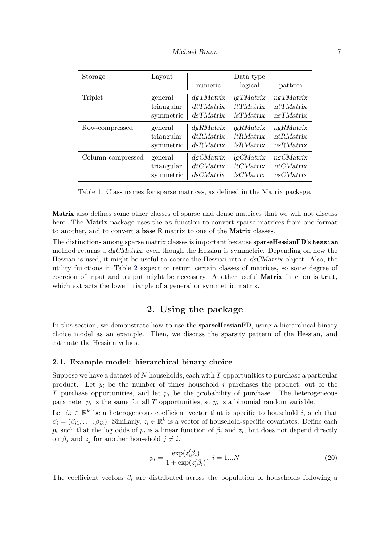| Michael Braun |  |
|---------------|--|
|               |  |

<span id="page-6-1"></span>

| Storage           | Layout     | numeric      | Data type<br>logical | pattern   |
|-------------------|------------|--------------|----------------------|-----------|
| Triplet           | general    | dgTMatrix    | lgTMatrix            | ngTMatrix |
|                   | triangular | $dt$ TMatrix | <i>ltTMatrix</i>     | ntTMatrix |
|                   | symmetric  | dsTMatrix    | <i>lsTMatrix</i>     | nsTMatrix |
| Row-compressed    | general    | dgRMatrix    | lgRMatrix            | ngRMatrix |
|                   | triangular | dtRMatrix    | <i>ltRMatrix</i>     | ntRMatrix |
|                   | symmetric  | dsRMatrix    | <i>lsRMatrix</i>     | nsRMatrix |
| Column-compressed | general    | dgCMatrix    | lgCMatrix            | ngCMatrix |
|                   | triangular | dtCMatrix    | $lt$ <i>CMatrix</i>  | ntCMatrix |
|                   | symmetric  | dsCMatrix    | <i>lsCMatrix</i>     | nsCMatrix |

|  |  | Table 1: Class names for sparse matrices, as defined in the Matrix package. |  |  |  |
|--|--|-----------------------------------------------------------------------------|--|--|--|
|  |  |                                                                             |  |  |  |

Matrix also defines some other classes of sparse and dense matrices that we will not discuss here. The **Matrix** package uses the as function to convert sparse matrices from one format to another, and to convert a base R matrix to one of the Matrix classes.

The distinctions among sparse matrix classes is important because **sparseHessianFD**'s hessian method returns a dgCMatrix, even though the Hessian is symmetric. Depending on how the Hessian is used, it might be useful to coerce the Hessian into a dsCMatrix object. Also, the utility functions in Table [2](#page-8-0) expect or return certain classes of matrices, so some degree of coercion of input and output might be necessary. Another useful Matrix function is tril, which extracts the lower triangle of a general or symmetric matrix.

# **2. Using the package**

<span id="page-6-0"></span>In this section, we demonstrate how to use the **sparseHessianFD**, using a hierarchical binary choice model as an example. Then, we discuss the sparsity pattern of the Hessian, and estimate the Hessian values.

#### <span id="page-6-2"></span>**2.1. Example model: hierarchical binary choice**

Suppose we have a dataset of *N* households, each with *T* opportunities to purchase a particular product. Let  $y_i$  be the number of times household  $i$  purchases the product, out of the *T* purchase opportunities, and let  $p_i$  be the probability of purchase. The heterogeneous parameter  $p_i$  is the same for all  $T$  opportunities, so  $y_i$  is a binomial random variable.

Let  $\beta_i \in \mathbb{R}^k$  be a heterogeneous coefficient vector that is specific to household *i*, such that  $\beta_i = (\beta_{i1}, \dots, \beta_{ik})$ . Similarly,  $z_i \in \mathbb{R}^k$  is a vector of household-specific covariates. Define each  $p_i$  such that the log odds of  $p_i$  is a linear function of  $\beta_i$  and  $z_i$ , but does not depend directly on  $\beta_j$  and  $z_j$  for another household  $j \neq i$ .

$$
p_i = \frac{\exp(z_i' \beta_i)}{1 + \exp(z_i' \beta_i)}, \ i = 1...N
$$
\n(20)

The coefficient vectors  $\beta_i$  are distributed across the population of households following a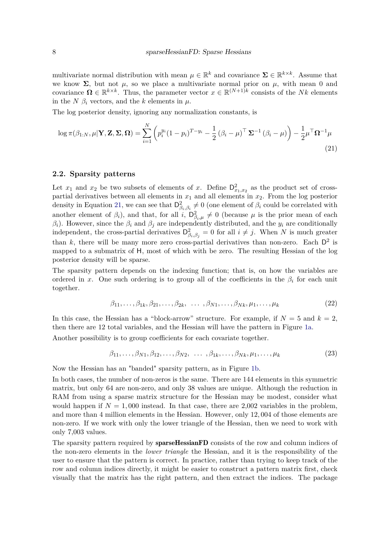multivariate normal distribution with mean  $\mu \in \mathbb{R}^k$  and covariance  $\Sigma \in \mathbb{R}^{k \times k}$ . Assume that we know  $\Sigma$ , but not  $\mu$ , so we place a multivariate normal prior on  $\mu$ , with mean 0 and covariance  $\Omega \in \mathbb{R}^{k \times k}$ . Thus, the parameter vector  $x \in \mathbb{R}^{(N+1)k}$  consists of the *Nk* elements in the *N*  $\beta_i$  vectors, and the *k* elements in  $\mu$ .

The log posterior density, ignoring any normalization constants, is

<span id="page-7-0"></span>
$$
\log \pi(\beta_{1:N}, \mu | \mathbf{Y}, \mathbf{Z}, \mathbf{\Sigma}, \mathbf{\Omega}) = \sum_{i=1}^{N} \left( p_i^{y_i} (1 - p_i)^{T - y_i} - \frac{1}{2} (\beta_i - \mu)^{\top} \mathbf{\Sigma}^{-1} (\beta_i - \mu) \right) - \frac{1}{2} \mu^{\top} \mathbf{\Omega}^{-1} \mu
$$
\n(21)

#### **2.2. Sparsity patterns**

Let  $x_1$  and  $x_2$  be two subsets of elements of *x*. Define  $D_{x_1,x_2}^2$  as the product set of crosspartial derivatives between all elements in  $x_1$  and all elements in  $x_2$ . From the log posterior density in Equation [21,](#page-7-0) we can see that  $D^2_{\beta_i,\beta_i} \neq 0$  (one element of  $\beta_i$  could be correlated with another element of  $\beta_i$ ), and that, for all  $i, \mathsf{D}^2_{\beta_i, \mu} \neq 0$  (because  $\mu$  is the prior mean of each *βi*). However, since the *β<sup>i</sup>* and *β<sup>j</sup>* are independently distributed, and the *y<sup>i</sup>* are conditionally independent, the cross-partial derivatives  $D_{\beta_i,\beta_j}^2 = 0$  for all  $i \neq j$ . When *N* is much greater than  $k$ , there will be many more zero cross-partial derivatives than non-zero. Each  $D^2$  is mapped to a submatrix of H, most of which with be zero. The resulting Hessian of the log posterior density will be sparse.

The sparsity pattern depends on the indexing function; that is, on how the variables are ordered in *x*. One such ordering is to group all of the coefficients in the  $\beta_i$  for each unit together.

$$
\beta_{11}, \dots, \beta_{1k}, \beta_{21}, \dots, \beta_{2k}, \dots, \beta_{N1}, \dots, \beta_{Nk}, \mu_1, \dots, \mu_k
$$
\n
$$
(22)
$$

In this case, the Hessian has a "block-arrow" structure. For example, if  $N = 5$  and  $k = 2$ , then there are 12 total variables, and the Hessian will have the pattern in Figure [1a.](#page-8-1) Another possibility is to group coefficients for each covariate together.

$$
\beta_{11}, \ldots, \beta_{N1}, \beta_{12}, \ldots, \beta_{N2}, \ldots, \beta_{1k}, \ldots, \beta_{Nk}, \mu_1, \ldots, \mu_k
$$
\n
$$
(23)
$$

Now the Hessian has an "banded" sparsity pattern, as in Figure [1b.](#page-8-1)

In both cases, the number of non-zeros is the same. There are 144 elements in this symmetric matrix, but only 64 are non-zero, and only 38 values are unique. Although the reduction in RAM from using a sparse matrix structure for the Hessian may be modest, consider what would happen if  $N = 1,000$  instead. In that case, there are 2,002 variables in the problem, and more than 4 million elements in the Hessian. However, only 12*,* 004 of those elements are non-zero. If we work with only the lower triangle of the Hessian, then we need to work with only 7,003 values.

The sparsity pattern required by sparseHessianFD consists of the row and column indices of the non-zero elements in the *lower triangle* the Hessian, and it is the responsibility of the user to ensure that the pattern is correct. In practice, rather than trying to keep track of the row and column indices directly, it might be easier to construct a pattern matrix first, check visually that the matrix has the right pattern, and then extract the indices. The package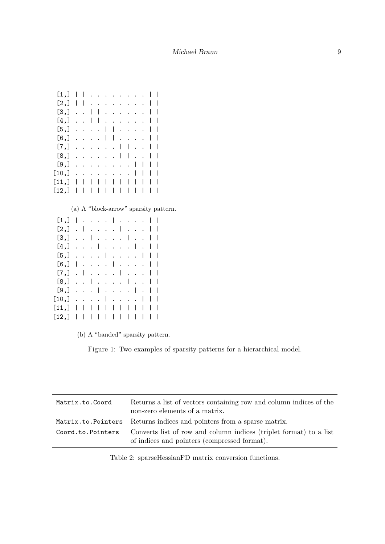<span id="page-8-1"></span>

|                      | ı                    |   |              |   |                          |   |   |   |   |   |  |
|----------------------|----------------------|---|--------------|---|--------------------------|---|---|---|---|---|--|
| I                    | I                    |   |              |   |                          |   |   |   |   |   |  |
| $\ddot{\phantom{0}}$ | $\ddot{\phantom{0}}$ | I | I            |   |                          |   |   |   |   |   |  |
| $\ddot{\phantom{0}}$ | $\ddot{\phantom{0}}$ | I | $\mathsf{l}$ |   |                          |   |   |   |   |   |  |
|                      |                      |   |              | I | $\mathsf{l}$             |   |   |   |   | ı |  |
|                      |                      |   |              | I | I                        |   |   |   |   | ı |  |
|                      |                      |   |              |   |                          | I | I |   |   |   |  |
|                      |                      |   |              |   |                          | ı | I |   |   | ı |  |
|                      |                      |   |              |   |                          |   |   | ı | I |   |  |
|                      |                      |   |              |   |                          |   |   |   | ı | ı |  |
| I                    | ı                    | I | I            | I | I                        | ı | I | ı | I | I |  |
|                      |                      |   | I            |   |                          |   |   |   | I | ı |  |
|                      |                      |   |              |   | $\overline{\phantom{a}}$ |   |   |   |   |   |  |

(a) A "block-arrow" sparsity pattern.

| [1,]  |   |                      |                      |   |   |                      |   |   |   |   |   |  |
|-------|---|----------------------|----------------------|---|---|----------------------|---|---|---|---|---|--|
| [2,]  |   | I                    |                      |   |   |                      |   |   |   |   |   |  |
| [3,]  |   |                      | I                    |   |   |                      |   | I |   |   |   |  |
| [4,]  |   |                      | $\ddot{\phantom{0}}$ | I |   |                      |   |   | ı |   | ı |  |
| [5,]  |   |                      |                      |   | I | $\ddot{\phantom{0}}$ |   |   |   | I | ı |  |
| [6, ] | I |                      |                      |   |   | I                    |   |   |   |   |   |  |
| [7,]  |   | I                    |                      |   |   |                      | ı |   |   |   |   |  |
| [8,]  |   | $\ddot{\phantom{0}}$ | I                    |   |   |                      |   | I |   |   | I |  |
| [9,]  |   |                      |                      | ı |   |                      |   |   | I |   |   |  |
| [10,] |   |                      |                      |   | I | $\ddot{\phantom{0}}$ |   |   |   | I | ı |  |
| [11,] |   |                      | I                    | I | I |                      | ı |   | ı | I | ı |  |
| [12,] |   |                      | I                    |   | I |                      |   |   |   | I |   |  |

(b) A "banded" sparsity pattern.

Figure 1: Two examples of sparsity patterns for a hierarchical model.

<span id="page-8-0"></span>

| Matrix.to.Coord   | Returns a list of vectors containing row and column indices of the<br>non-zero elements of a matrix.               |
|-------------------|--------------------------------------------------------------------------------------------------------------------|
|                   | Matrix.to.Pointers Returns indices and pointers from a sparse matrix.                                              |
| Coord.to.Pointers | Converts list of row and column indices (triplet format) to a list<br>of indices and pointers (compressed format). |

Table 2: sparseHessianFD matrix conversion functions.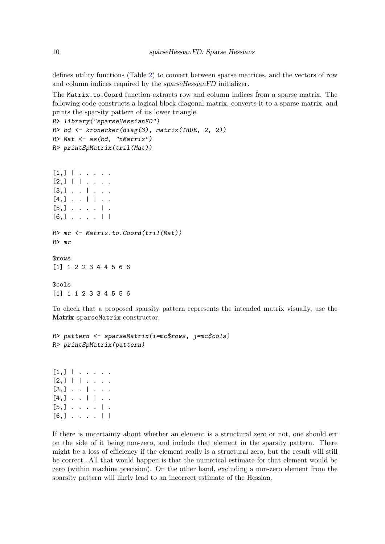defines utility functions (Table [2\)](#page-8-0) to convert between sparse matrices, and the vectors of row and column indices required by the sparseHessianFD initializer.

The Matrix.to.Coord function extracts row and column indices from a sparse matrix. The following code constructs a logical block diagonal matrix, converts it to a sparse matrix, and prints the sparsity pattern of its lower triangle.

```
R> library("sparseHessianFD")
R> bd <- kronecker(diag(3), matrix(TRUE, 2, 2))
R Mat \leq as (bd, "nMatrix")
R> printSpMatrix(tril(Mat))
```

```
[1,] | . . . . .
[2,] | | . . . .
[3,] \ldots | ...
[4,] . . | | . .
[5,] . . . . | .
[6,] . . . . | |
R> mc <- Matrix.to.Coord(tril(Mat))
R> mc
$rows
[1] 1 2 2 3 4 4 5 6 6
$cols
[1] 1 1 2 3 3 4 5 5 6
```
To check that a proposed sparsity pattern represents the intended matrix visually, use the Matrix sparseMatrix constructor.

```
R> pattern <- sparseMatrix(i=mc$rows, j=mc$cols)
R> printSpMatrix(pattern)
```
[1,] | . . . . . [2,] | | . . . .  $[3,]$  . . | . . .  $[4,] \cdot \cdot | \cdot | \cdot$ .  $[5,]$  . . . . | .  $[6,]$  . . . . | |

If there is uncertainty about whether an element is a structural zero or not, one should err on the side of it being non-zero, and include that element in the sparsity pattern. There might be a loss of efficiency if the element really is a structural zero, but the result will still be correct. All that would happen is that the numerical estimate for that element would be zero (within machine precision). On the other hand, excluding a non-zero element from the sparsity pattern will likely lead to an incorrect estimate of the Hessian.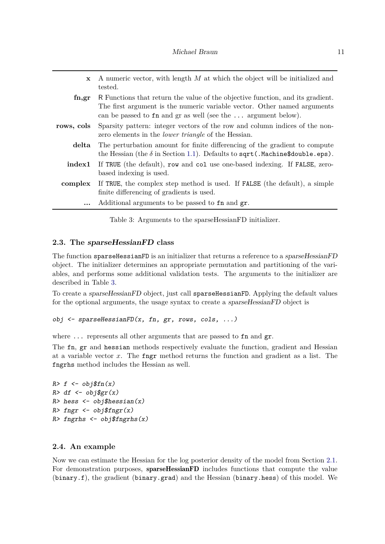<span id="page-10-0"></span>

| $\mathbf{x}$ | A numeric vector, with length M at which the object will be initialized and                                                                                        |
|--------------|--------------------------------------------------------------------------------------------------------------------------------------------------------------------|
|              | tested.                                                                                                                                                            |
| fn,gr        | R Functions that return the value of the objective function, and its gradient.                                                                                     |
|              | The first argument is the numeric variable vector. Other named arguments<br>can be passed to $fn$ and $gr$ as well (see the $\dots$ argument below).               |
| rows, cols   | Sparsity pattern: integer vectors of the row and column indices of the non-<br>zero elements in the <i>lower triangle</i> of the Hessian.                          |
| delta        | The perturbation amount for finite differencing of the gradient to compute<br>the Hessian (the $\delta$ in Section 1.1). Defaults to sqrt (. Machine\$double.eps). |
| index1       | If TRUE (the default), row and col use one-based indexing. If FALSE, zero-<br>based indexing is used.                                                              |
| complex      | If TRUE, the complex step method is used. If FALSE (the default), a simple                                                                                         |
|              | finite differencing of gradients is used.                                                                                                                          |
| $\cdots$     | Additional arguments to be passed to fn and gr.                                                                                                                    |

Table 3: Arguments to the sparseHessianFD initializer.

# **2.3. The sparseHessianFD class**

The function sparseHessianFD is an initializer that returns a reference to a sparseHessianFD object. The initializer determines an appropriate permutation and partitioning of the variables, and performs some additional validation tests. The arguments to the initializer are described in Table [3.](#page-10-0)

To create a sparseHessianFD object, just call sparseHessianFD. Applying the default values for the optional arguments, the usage syntax to create a sparseHessianFD object is

obj  $\leq$  sparseHessianFD $(x, fin, gr, rows, cols, ...)$ 

where  $\ldots$  represents all other arguments that are passed to fn and gr.

The fn, gr and hessian methods respectively evaluate the function, gradient and Hessian at a variable vector *x*. The fngr method returns the function and gradient as a list. The fngrhs method includes the Hessian as well.

```
R > f \leftarrow obj$fn(x)
R > df \leftarrow obj\gr(x)
R> hess \leftarrow obj$hessian(x)
R> fngr <- obj$fngr(x)
R> fngrhs \left\langle -\right\rangle obj$fngrhs(x)
```
# **2.4. An example**

Now we can estimate the Hessian for the log posterior density of the model from Section [2.1.](#page-6-2) For demonstration purposes, sparseHessianFD includes functions that compute the value (binary.f), the gradient (binary.grad) and the Hessian (binary.hess) of this model. We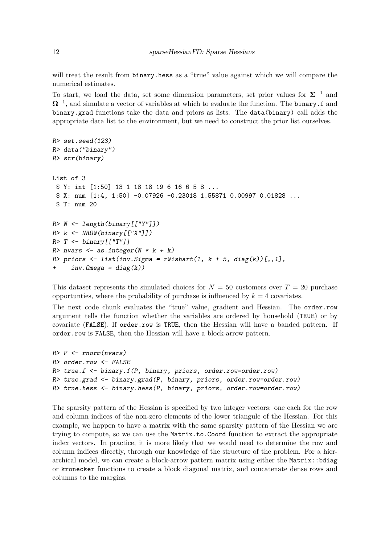will treat the result from binary.hess as a "true" value against which we will compare the numerical estimates.

To start, we load the data, set some dimension parameters, set prior values for  $\Sigma^{-1}$  and  $Ω<sup>-1</sup>$ , and simulate a vector of variables at which to evaluate the function. The **binary**.f and binary.grad functions take the data and priors as lists. The data(binary) call adds the appropriate data list to the environment, but we need to construct the prior list ourselves.

```
R> set.seed(123)
R> data("binary")
R> str(binary)
List of 3
 $ Y: int [1:50] 13 1 18 18 19 6 16 6 5 8 ...
 $ X: num [1:4, 1:50] -0.07926 -0.23018 1.55871 0.00997 0.01828 ...
 $ T: num 20
R > N \leftarrow length(binary[["Y"])R> k <- NROW(binary[["X"]])
R > T <- binary [["T"]]
R> nvars \leq as.integer(N * k + k)
R> priors \leq list(inv. Sigma = rWishart(1, k + 5, diag(k))[,,1],
     inv.Dmega = diag(k))
```
This dataset represents the simulated choices for  $N = 50$  customers over  $T = 20$  purchase opportunties, where the probability of purchase is influenced by  $k = 4$  covariates.

The next code chunk evaluates the "true" value, gradient and Hessian. The order.row argument tells the function whether the variables are ordered by household (TRUE) or by covariate (FALSE). If order.row is TRUE, then the Hessian will have a banded pattern. If order.row is FALSE, then the Hessian will have a block-arrow pattern.

```
R > P \leftarrow rnorm(nvars)R> order.row <- FALSE
R> true.f <- binary.f(P, binary, priors, order.row=order.row)
R> true.grad <- binary.grad(P, binary, priors, order.row=order.row)
R> true.hess <- binary.hess(P, binary, priors, order.row=order.row)
```
The sparsity pattern of the Hessian is specified by two integer vectors: one each for the row and column indices of the non-zero elements of the lower triangule of the Hessian. For this example, we happen to have a matrix with the same sparsity pattern of the Hessian we are trying to compute, so we can use the Matrix.to.Coord function to extract the appropriate index vectors. In practice, it is more likely that we would need to determine the row and column indices directly, through our knowledge of the structure of the problem. For a hierarchical model, we can create a block-arrow pattern matrix using either the Matrix::bdiag or kronecker functions to create a block diagonal matrix, and concatenate dense rows and columns to the margins.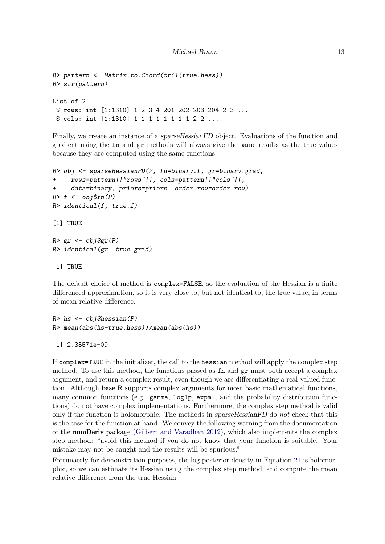```
R> pattern <- Matrix.to.Coord(tril(true.hess))
R> str(pattern)
List of 2
 $ rows: int [1:1310] 1 2 3 4 201 202 203 204 2 3 ...
 $ cols: int [1:1310] 1 1 1 1 1 1 1 1 2 2 ...
```
Finally, we create an instance of a sparseHessianFD object. Evaluations of the function and gradient using the fn and gr methods will always give the same results as the true values because they are computed using the same functions.

```
R> obj <- sparseHessianFD(P, fn=binary.f, gr=binary.grad,
+ rows=pattern[["rows"]], cols=pattern[["cols"]],
+ data=binary, priors=priors, order.row=order.row)
R> f \leq -\text{obj$\$fn(P)$}R> identical(f, true.f)
[1] TRUE
R> gr \leq obj$gr(P)
R> identical(gr, true.grad)
[1] TRUE
```
The default choice of method is complex=FALSE, so the evaluation of the Hessian is a finite differenced approximation, so it is very close to, but not identical to, the true value, in terms of mean relative difference.

```
R> hs \leftarrow obj$hessian(P)
R> mean(abs(hs-true.hess))/mean(abs(hs))
```

```
[1] 2.33571e-09
```
If complex=TRUE in the initializer, the call to the hessian method will apply the complex step method. To use this method, the functions passed as fn and gr must both accept a complex argument, and return a complex result, even though we are differentiating a real-valued function. Although base R supports complex arguments for most basic mathematical functions, many common functions (e.g., gamma,  $\log_1$  expm1, and the probability distribution functions) do not have complex implementations. Furthermore, the complex step method is valid only if the function is holomorphic. The methods in sparseHessianFD do *not* check that this is the case for the function at hand. We convey the following warning from the documentation of the numDeriv package [\(Gilbert and Varadhan 2012\)](#page-21-6), which also implements the complex step method: "avoid this method if you do not know that your function is suitable. Your mistake may not be caught and the results will be spurious.

Fortunately for demonstration purposes, the log posterior density in Equation [21](#page-7-0) is holomorphic, so we can estimate its Hessian using the complex step method, and compute the mean relative difference from the true Hessian.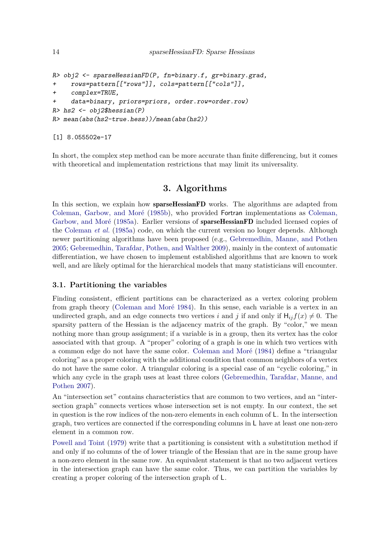```
R> obj2 <- sparseHessianFD(P, fn=binary.f, gr=binary.grad,
+ rows=pattern[["rows"]], cols=pattern[["cols"]],
+ complex=TRUE,
    data=binary, priors=priors, order.row=order.row)
R> hs2 <- obj2$hessian(P)
R> mean(abs(hs2-true.hess))/mean(abs(hs2))
```
[1] 8.055502e-17

In short, the complex step method can be more accurate than finite differencing, but it comes with theoretical and implementation restrictions that may limit its universality.

# **3. Algorithms**

<span id="page-13-0"></span>In this section, we explain how **sparseHessianFD** works. The algorithms are adapted from [Coleman, Garbow, and Moré](#page-20-5) [\(1985b\)](#page-20-5), who provided Fortran implementations as [Coleman,](#page-20-6) [Garbow, and Moré](#page-20-6) [\(1985a\)](#page-20-6). Earlier versions of sparseHessianFD included licensed copies of the [Coleman](#page-20-6) *et al.* [\(1985a\)](#page-20-6) code, on which the current version no longer depends. Although newer partitioning algorithms have been proposed (e.g., [Gebremedhin, Manne, and Pothen](#page-20-7) [2005;](#page-20-7) [Gebremedhin, Tarafdar, Pothen, and Walther 2009\)](#page-21-7), mainly in the context of automatic differentiation, we have chosen to implement established algorithms that are known to work well, and are likely optimal for the hierarchical models that many statisticians will encounter.

# <span id="page-13-1"></span>**3.1. Partitioning the variables**

Finding consistent, efficient partitions can be characterized as a vertex coloring problem from graph theory [\(Coleman and Moré 1984\)](#page-20-8). In this sense, each variable is a vertex in an undirected graph, and an edge connects two vertices *i* and *j* if and only if  $H_{ii}f(x) \neq 0$ . The sparsity pattern of the Hessian is the adjacency matrix of the graph. By "color," we mean nothing more than group assignment; if a variable is in a group, then its vertex has the color associated with that group. A "proper" coloring of a graph is one in which two vertices with a common edge do not have the same color. [Coleman and Moré](#page-20-8) [\(1984\)](#page-20-8) define a "triangular coloring" as a proper coloring with the additional condition that common neighbors of a vertex do not have the same color. A triangular coloring is a special case of an "cyclic coloring," in which any cycle in the graph uses at least three colors [\(Gebremedhin, Tarafdar, Manne, and](#page-20-9) [Pothen 2007\)](#page-20-9).

An "intersection set" contains characteristics that are common to two vertices, and an "intersection graph<sup>n</sup> connects vertices whose intersection set is not empty. In our context, the set in question is the row indices of the non-zero elements in each column of L. In the intersection graph, two vertices are connected if the corresponding columns in L have at least one non-zero element in a common row.

[Powell and Toint](#page-21-5) [\(1979\)](#page-21-5) write that a partitioning is consistent with a substitution method if and only if no columns of the of lower triangle of the Hessian that are in the same group have a non-zero element in the same row. An equivalent statement is that no two adjacent vertices in the intersection graph can have the same color. Thus, we can partition the variables by creating a proper coloring of the intersection graph of L.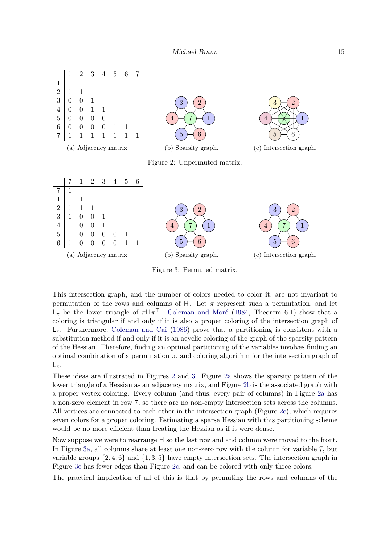<span id="page-14-1"></span><span id="page-14-0"></span>

Figure 3: Permuted matrix.

This intersection graph, and the number of colors needed to color it, are not invariant to permutation of the rows and columns of H. Let  $\pi$  represent such a permutation, and let L*<sup>π</sup>* be the lower triangle of *π*H*π* <sup>⊤</sup>. [Coleman and Moré](#page-20-8) [\(1984,](#page-20-8) Theorem 6.1) show that a coloring is triangular if and only if it is also a proper coloring of the intersection graph of  $L_{\pi}$ . Furthermore, [Coleman and Cai](#page-20-10) [\(1986\)](#page-20-10) prove that a partitioning is consistent with a substitution method if and only if it is an acyclic coloring of the graph of the sparsity pattern of the Hessian. Therefore, finding an optimal partitioning of the variables involves finding an optimal combination of a permutation  $\pi$ , and coloring algorithm for the intersection graph of L*π*.

These ideas are illustrated in Figures [2](#page-14-0) and [3.](#page-14-1) Figure [2a](#page-14-0) shows the sparsity pattern of the lower triangle of a Hessian as an adjacency matrix, and Figure [2b](#page-14-0) is the associated graph with a proper vertex coloring. Every column (and thus, every pair of columns) in Figure [2a](#page-14-0) has a non-zero element in row 7, so there are no non-empty intersection sets across the columns. All vertices are connected to each other in the intersection graph (Figure [2c\)](#page-14-0), which requires seven colors for a proper coloring. Estimating a sparse Hessian with this partitioning scheme would be no more efficient than treating the Hessian as if it were dense.

Now suppose we were to rearrange H so the last row and and column were moved to the front. In Figure [3a,](#page-14-1) all columns share at least one non-zero row with the column for variable 7, but variable groups  $\{2, 4, 6\}$  and  $\{1, 3, 5\}$  have empty intersection sets. The intersection graph in Figure [3c](#page-14-1) has fewer edges than Figure [2c,](#page-14-0) and can be colored with only three colors.

The practical implication of all of this is that by permuting the rows and columns of the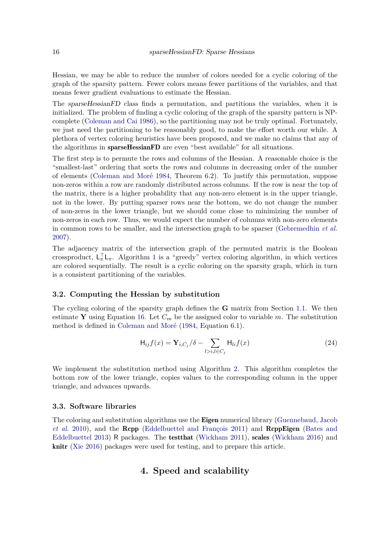Hessian, we may be able to reduce the number of colors needed for a cyclic coloring of the graph of the sparsity pattern. Fewer colors means fewer partitions of the variables, and that means fewer gradient evaluations to estimate the Hessian.

The sparseHessianFD class finds a permutation, and partitions the variables, when it is initialized. The problem of finding a cyclic coloring of the graph of the sparsity pattern is NPcomplete [\(Coleman and Cai 1986\)](#page-20-10), so the partitioning may not be truly optimal. Fortunately, we just need the partitioning to be reasonably good, to make the effort worth our while. A plethora of vertex coloring heuristics have been proposed, and we make no claims that any of the algorithms in sparseHessianFD are even "best available" for all situations.

The first step is to permute the rows and columns of the Hessian. A reasonable choice is the "smallest-last" ordering that sorts the rows and columns in decreasing order of the number of elements [\(Coleman and Moré 1984,](#page-20-8) Theorem 6.2). To justify this permutation, suppose non-zeros within a row are randomly distributed across columns. If the row is near the top of the matrix, there is a higher probability that any non-zero element is in the upper triangle, not in the lower. By putting sparser rows near the bottom, we do not change the number of non-zeros in the lower triangle, but we should come close to minimizing the number of non-zeros in each row. Thus, we would expect the number of columns with non-zero elements in common rows to be smaller, and the intersection graph to be sparser [\(Gebremedhin](#page-20-9) *et al.* [2007\)](#page-20-9).

The adjacency matrix of the intersection graph of the permuted matrix is the Boolean crossproduct,  $L_{\pi}^{\top} L_{\pi}$ . Algorithm [1](#page-16-0) is a "greedy" vertex coloring algorithm, in which vertices are colored sequentially. The result is a cyclic coloring on the sparsity graph, which in turn is a consistent partitioning of the variables.

#### **3.2. Computing the Hessian by substitution**

The cycling coloring of the sparsity graph defines the  $G$  matrix from Section [1.1.](#page-2-0) We then estimate **Y** using Equation [16.](#page-4-2) Let  $C_m$  be the assigned color to variable  $m$ . The substitution method is defined in [Coleman and Moré](#page-20-8) [\(1984,](#page-20-8) Equation 6.1).

$$
\mathsf{H}_{ij}f(x) = \mathbf{Y}_{i,C_j}/\delta - \sum_{l>i,l \in C_j} \mathsf{H}_{li}f(x) \tag{24}
$$

We implement the substitution method using Algorithm [2.](#page-16-1) This algorithm completes the bottom row of the lower triangle, copies values to the corresponding column in the upper triangle, and advances upwards.

### **3.3. Software libraries**

<span id="page-15-0"></span>The coloring and substitution algorithms use the **Eigen** numerical library [\(Guennebaud, Jacob](#page-21-8) *[et al.](#page-21-8)* [2010\)](#page-21-8), and the Rcpp [\(Eddelbuettel and François 2011\)](#page-20-11) and RcppEigen [\(Bates and](#page-20-12) [Eddelbuettel 2013\)](#page-20-12) R packages. The testthat [\(Wickham 2011\)](#page-21-9), scales [\(Wickham 2016\)](#page-21-10) and knitr [\(Xie 2016\)](#page-21-11) packages were used for testing, and to prepare this article.

# **4. Speed and scalability**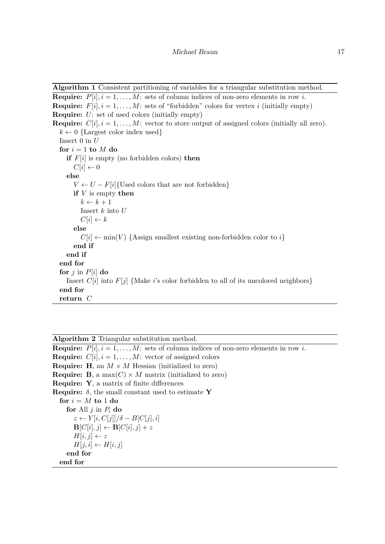<span id="page-16-0"></span>**Algorithm 1** Consistent partitioning of variables for a triangular substitution method.

```
Require: P[i], i = 1, \ldots, M: sets of column indices of non-zero elements in row i.
Require: F[i], i = 1, \ldots, M: sets of "forbidden" colors for vertex i (initially empty)
Require: U: set of used colors (initially empty)
Require: C[i], i = 1, \ldots, M: vector to store output of assigned colors (initially all zero).
  k \leftarrow 0 {Largest color index used}
  Insert 0 in U
  for i = 1 to M do
    if F[i] is empty (no forbidden colors) then
       C[i] \leftarrow 0else
       V \leftarrow U - F[i] {Used colors that are not forbidden}
       if V is empty then
         k \leftarrow k + 1Insert k into U
         C[i] \leftarrow kelse
         C[i] \leftarrow min(V) {Assign smallest existing non-forbidden color to i}
       end if
    end if
  end for
  for j in P[i] do
    Insert C[i] into F[j] {Make i's color forbidden to all of its uncolored neighbors}
  end for
  return C
```
<span id="page-16-1"></span>**Algorithm 2** Triangular substitution method. **Require:**  $P[i], i = 1, \ldots, M$ : sets of column indices of non-zero elements in row *i*. **Require:**  $C[i], i = 1, \ldots, M$ : vector of assigned colors **Require: H**, an  $M \times M$  Hessian (initialized to zero) **Require: B**, a max $(C) \times M$  matrix (initialized to zero) **Require: Y**, a matrix of finite differences **Require:**  $\delta$ , the small constant used to estimate **Y** for  $i = M$  **to** 1 **do for** All  $j$  in  $P_i$  **do**  $z \leftarrow Y[i, C[j]]/\delta - B[C[j], i]$  $\mathbf{B}[C[i], j] \leftarrow \mathbf{B}[C[i], j] + z$  $H[i, j] \leftarrow z$  $H[j, i] \leftarrow H[i, j]$ **end for end for**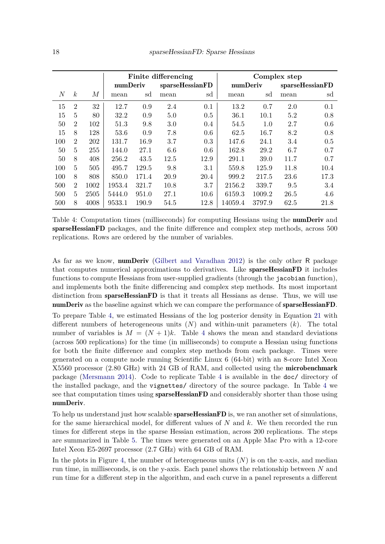<span id="page-17-0"></span>

|                  |                  |        |          |       | Finite differencing |                 |          |        | Complex step    |      |  |
|------------------|------------------|--------|----------|-------|---------------------|-----------------|----------|--------|-----------------|------|--|
|                  |                  |        | numDeriv |       |                     | sparseHessianFD | numDeriv |        | sparseHessianFD |      |  |
| $\boldsymbol{N}$ | $\boldsymbol{k}$ | М      | mean     | sd    | mean                | sd              | mean     | sd     | mean            | sd   |  |
| 15               | $\overline{2}$   | $32\,$ | 12.7     | 0.9   | 2.4                 | 0.1             | 13.2     | 0.7    | 2.0             | 0.1  |  |
| 15               | 5                | 80     | 32.2     | 0.9   | 5.0                 | 0.5             | 36.1     | 10.1   | 5.2             | 0.8  |  |
| 50               | $\overline{2}$   | 102    | 51.3     | 9.8   | 3.0                 | 0.4             | 54.5     | 1.0    | 2.7             | 0.6  |  |
| 15               | 8                | 128    | 53.6     | 0.9   | 7.8                 | 0.6             | 62.5     | 16.7   | 8.2             | 0.8  |  |
| 100              | $\overline{2}$   | 202    | 131.7    | 16.9  | 3.7                 | 0.3             | 147.6    | 24.1   | 3.4             | 0.5  |  |
| 50               | 5                | 255    | 144.0    | 27.1  | 6.6                 | 0.6             | 162.8    | 29.2   | 6.7             | 0.7  |  |
| 50               | 8                | 408    | 256.2    | 43.5  | 12.5                | 12.9            | 291.1    | 39.0   | 11.7            | 0.7  |  |
| 100              | 5                | 505    | 495.7    | 129.5 | 9.8                 | 3.1             | 559.8    | 125.9  | 11.8            | 10.4 |  |
| 100              | 8                | 808    | 850.0    | 171.4 | 20.9                | 20.4            | 999.2    | 217.5  | 23.6            | 17.3 |  |
| 500              | $\overline{2}$   | 1002   | 1953.4   | 321.7 | 10.8                | 3.7             | 2156.2   | 339.7  | 9.5             | 3.4  |  |
| 500              | 5                | 2505   | 5444.0   | 951.0 | 27.1                | 10.6            | 6159.3   | 1009.2 | 26.5            | 4.6  |  |
| 500              | 8                | 4008   | 9533.1   | 190.9 | 54.5                | 12.8            | 14059.4  | 3797.9 | 62.5            | 21.8 |  |

Table 4: Computation times (milliseconds) for computing Hessians using the **numDeriv** and sparseHessianFD packages, and the finite difference and complex step methods, across 500 replications. Rows are ordered by the number of variables.

As far as we know, numDeriv [\(Gilbert and Varadhan 2012\)](#page-21-6) is the only other R package that computes numerical approximations to derivatives. Like **sparseHessianFD** it includes functions to compute Hessians from user-supplied gradients (through the jacobian function), and implements both the finite differencing and complex step methods. Its most important distinction from **sparseHessianFD** is that it treats all Hessians as dense. Thus, we will use numDeriv as the baseline against which we can compare the performance of sparseHessianFD.

To prepare Table [4,](#page-17-0) we estimated Hessians of the log posterior density in Equation [21](#page-7-0) with different numbers of heterogeneous units (*N*) and within-unit parameters (*k*). The total number of variables is  $M = (N + 1)k$ . Table [4](#page-17-0) shows the mean and standard deviations (across 500 replications) for the time (in milliseconds) to compute a Hessian using functions for both the finite difference and complex step methods from each package. Times were generated on a compute node running Scientific Linux  $6(64$ -bit) with an 8-core Intel Xeon X5560 processor (2.80 GHz) with 24 GB of RAM, and collected using the microbenchmark package [\(Mersmann 2014\)](#page-21-12). Code to replicate Table [4](#page-17-0) is available in the doc/ directory of the installed package, and the vignettes/ directory of the source package. In Table [4](#page-17-0) we see that computation times using **sparseHessianFD** and considerably shorter than those using numDeriv.

To help us understand just how scalable **sparseHessianFD** is, we ran another set of simulations, for the same hierarchical model, for different values of *N* and *k*. We then recorded the run times for different steps in the sparse Hessian estimation, across 200 replications. The steps are summarized in Table [5.](#page-18-0) The times were generated on an Apple Mac Pro with a 12-core Intel Xeon E5-2697 processor (2.7 GHz) with 64 GB of RAM.

In the plots in Figure [4,](#page-19-0) the number of heterogeneous units  $(N)$  is on the x-axis, and median run time, in milliseconds, is on the y-axis. Each panel shows the relationship between *N* and run time for a different step in the algorithm, and each curve in a panel represents a different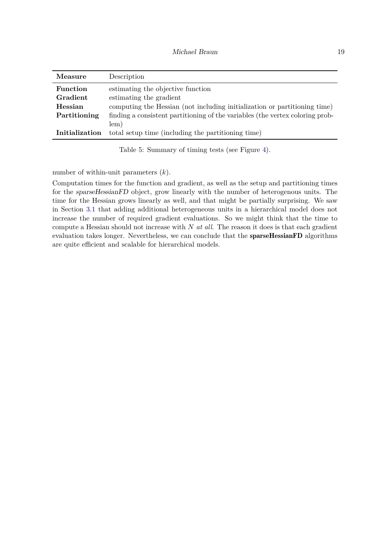<span id="page-18-0"></span>

| Measure         | Description                                                                   |
|-----------------|-------------------------------------------------------------------------------|
| <b>Function</b> | estimating the objective function                                             |
| Gradient        | estimating the gradient                                                       |
| Hessian         | computing the Hessian (not including initialization or partitioning time)     |
| Partitioning    | finding a consistent partitioning of the variables (the vertex coloring prob- |
|                 | lem)                                                                          |
| Initialization  | total setup time (including the partitioning time)                            |

Table 5: Summary of timing tests (see Figure [4\)](#page-19-0).

number of within-unit parameters (*k*).

Computation times for the function and gradient, as well as the setup and partitioning times for the sparseHessianFD object, grow linearly with the number of heterogenous units. The time for the Hessian grows linearly as well, and that might be partially surprising. We saw in Section [3.1](#page-13-1) that adding additional heterogeneous units in a hierarchical model does not increase the number of required gradient evaluations. So we might think that the time to compute a Hessian should not increase with *N at all*. The reason it does is that each gradient evaluation takes longer. Nevertheless, we can conclude that the **sparseHessianFD** algorithms are quite efficient and scalable for hierarchical models.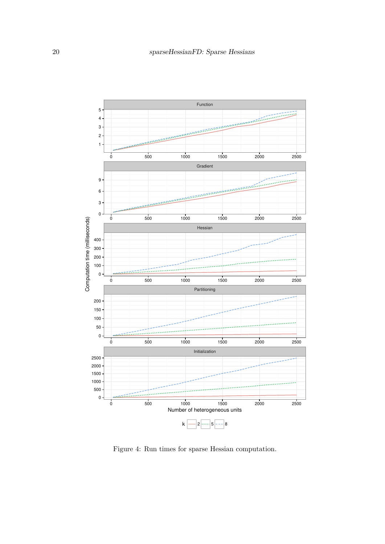<span id="page-19-0"></span>

Figure 4: Run times for sparse Hessian computation.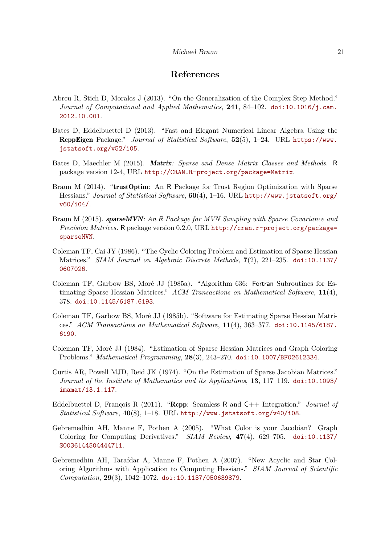#### Michael Braun 21

# **References**

- <span id="page-20-3"></span>Abreu R, Stich D, Morales J  $(2013)$ . "On the Generalization of the Complex Step Method." *Journal of Computational and Applied Mathematics*, 241, 84–102. [doi:10.1016/j.cam.](https://doi.org/10.1016/j.cam.2012.10.001) [2012.10.001](https://doi.org/10.1016/j.cam.2012.10.001).
- <span id="page-20-12"></span>Bates D, Eddelbuettel D (2013). "Fast and Elegant Numerical Linear Algebra Using the RcppEigen Package.<sup>n</sup> Journal of Statistical Software, 52(5), 1-24. URL [https://www.](https://www.jstatsoft.org/v52/i05) [jstatsoft.org/v52/i05](https://www.jstatsoft.org/v52/i05).
- <span id="page-20-2"></span>Bates D, Maechler M (2015). Matrix*: Sparse and Dense Matrix Classes and Methods*. R package version 12-4, URL <http://CRAN.R-project.org/package=Matrix>.
- <span id="page-20-0"></span>Braun M (2014). "trustOptim: An R Package for Trust Region Optimization with Sparse Hessians." *Journal of Statistical Software*,  $60(4)$ , 1–16. URL [http://www.jstatsoft.org/](http://www.jstatsoft.org/v60/i04/) [v60/i04/](http://www.jstatsoft.org/v60/i04/).
- <span id="page-20-1"></span>Braun M (2015). sparseMVN*: An* R *Package for MVN Sampling with Sparse Covariance and Precision Matrices.* R package version 0.2.0, URL [http://cran.r-project.org/package=](http://cran.r-project.org/package=sparseMVN) [sparseMVN](http://cran.r-project.org/package=sparseMVN).
- <span id="page-20-10"></span>Coleman TF, Cai JY (1986). "The Cyclic Coloring Problem and Estimation of Sparse Hessian Matrices." *SIAM Journal on Algebraic Discrete Methods*, **7**(2), 221–235. [doi:10.1137/](https://doi.org/10.1137/0607026) [0607026](https://doi.org/10.1137/0607026).
- <span id="page-20-6"></span>Coleman TF, Garbow BS, Moré JJ (1985a). "Algorithm 636: Fortran Subroutines for Estimating Sparse Hessian Matrices.<sup>"</sup> ACM Transactions on Mathematical Software, 11(4), 378. [doi:10.1145/6187.6193](https://doi.org/10.1145/6187.6193).
- <span id="page-20-5"></span>Coleman TF, Garbow BS, Moré JJ (1985b). "Software for Estimating Sparse Hessian Matrices." *ACM Transactions on Mathematical Software*, 11(4), 363–377. [doi:10.1145/6187.](https://doi.org/10.1145/6187.6190) [6190](https://doi.org/10.1145/6187.6190).
- <span id="page-20-8"></span>Coleman TF, Moré JJ (1984). "Estimation of Sparse Hessian Matrices and Graph Coloring Problems." *Mathematical Programming*, 28(3), 243–270. [doi:10.1007/BF02612334](https://doi.org/10.1007/BF02612334).
- <span id="page-20-4"></span>Curtis AR, Powell MJD, Reid JK (1974). "On the Estimation of Sparse Jacobian Matrices." *Journal of the Institute of Mathematics and its Applications*, 13, 117–119. [doi:10.1093/](https://doi.org/10.1093/imamat/13.1.117) [imamat/13.1.117](https://doi.org/10.1093/imamat/13.1.117).
- <span id="page-20-11"></span>Eddelbuettel D, François R  $(2011)$ . "**Rcpp:** Seamless R and  $C++$  Integration." *Journal of Statistical Software*,  $40(8)$ , 1-18. URL <http://www.jstatsoft.org/v40/i08>.
- <span id="page-20-7"></span>Gebremedhin AH, Manne F, Pothen A (2005). "What Color is your Jacobian? Graph Coloring for Computing Derivatives.<sup>n</sup>  $SIAM$  Review,  $47(4)$ ,  $629-705$ . [doi:10.1137/](https://doi.org/10.1137/S0036144504444711) [S0036144504444711](https://doi.org/10.1137/S0036144504444711).
- <span id="page-20-9"></span>Gebremedhin AH, Tarafdar A, Manne F, Pothen A (2007). "New Acyclic and Star Coloring Algorithms with Application to Computing Hessians.<sup>™</sup> *SIAM Journal of Scientific Computation*, 29(3), 1042-1072. [doi:10.1137/050639879](https://doi.org/10.1137/050639879).